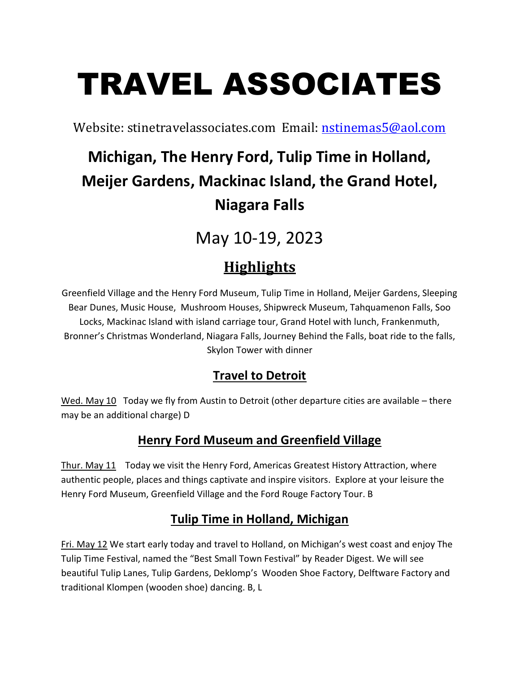# TRAVEL ASSOCIATES

Website: stinetravelassociates.com Email: nstinemas5@aol.com

# Michigan, The Henry Ford, Tulip Time in Holland, Meijer Gardens, Mackinac Island, the Grand Hotel, Niagara Falls

May 10-19, 2023

## **Highlights**

Greenfield Village and the Henry Ford Museum, Tulip Time in Holland, Meijer Gardens, Sleeping Bear Dunes, Music House, Mushroom Houses, Shipwreck Museum, Tahquamenon Falls, Soo Locks, Mackinac Island with island carriage tour, Grand Hotel with lunch, Frankenmuth, Bronner's Christmas Wonderland, Niagara Falls, Journey Behind the Falls, boat ride to the falls, Skylon Tower with dinner

#### Travel to Detroit

Wed. May 10 Today we fly from Austin to Detroit (other departure cities are available – there may be an additional charge) D

#### Henry Ford Museum and Greenfield Village

Thur. May 11 Today we visit the Henry Ford, Americas Greatest History Attraction, where authentic people, places and things captivate and inspire visitors. Explore at your leisure the Henry Ford Museum, Greenfield Village and the Ford Rouge Factory Tour. B

#### Tulip Time in Holland, Michigan

Fri. May 12 We start early today and travel to Holland, on Michigan's west coast and enjoy The Tulip Time Festival, named the "Best Small Town Festival" by Reader Digest. We will see beautiful Tulip Lanes, Tulip Gardens, Deklomp's Wooden Shoe Factory, Delftware Factory and traditional Klompen (wooden shoe) dancing. B, L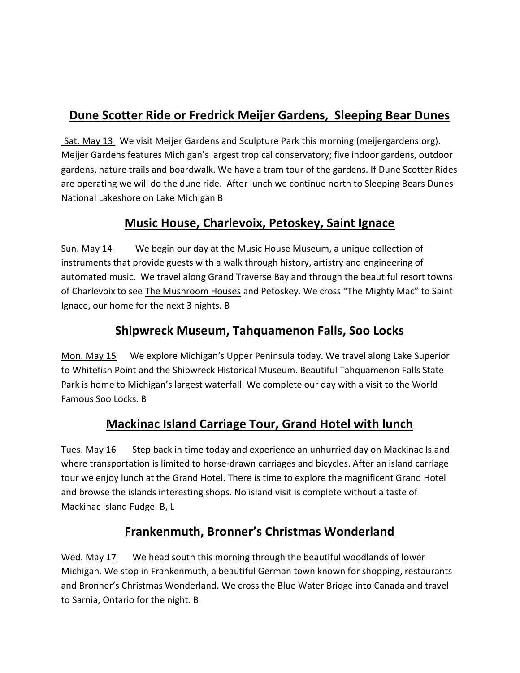#### Dune Scotter Ride or Fredrick Meijer Gardens, Sleeping Bear Dunes

Sat. May 13 We visit Meijer Gardens and Sculpture Park this morning (meijergardens.org). Meijer Gardens features Michigan's largest tropical conservatory; five indoor gardens, outdoor gardens, nature trails and boardwalk. We have a tram tour of the gardens. If Dune Scotter Rides are operating we will do the dune ride. After lunch we continue north to Sleeping Bears Dunes National Lakeshore on Lake Michigan B

#### Music House, Charlevoix, Petoskey, Saint Ignace

Sun. May 14 We begin our day at the Music House Museum, a unique collection of instruments that provide guests with a walk through history, artistry and engineering of automated music. We travel along Grand Traverse Bay and through the beautiful resort towns of Charlevoix to see The Mushroom Houses and Petoskey. We cross "The Mighty Mac" to Saint Ignace, our home for the next 3 nights. B

#### Shipwreck Museum, Tahquamenon Falls, Soo Locks

Mon. May 15 We explore Michigan's Upper Peninsula today. We travel along Lake Superior to Whitefish Point and the Shipwreck Historical Museum. Beautiful Tahquamenon Falls State Park is home to Michigan's largest waterfall. We complete our day with a visit to the World Famous Soo Locks. B

#### Mackinac Island Carriage Tour, Grand Hotel with lunch

Tues. May 16 Step back in time today and experience an unhurried day on Mackinac Island where transportation is limited to horse-drawn carriages and bicycles. After an island carriage tour we enjoy lunch at the Grand Hotel. There is time to explore the magnificent Grand Hotel and browse the islands interesting shops. No island visit is complete without a taste of Mackinac Island Fudge. B, L

#### Frankenmuth, Bronner's Christmas Wonderland

Wed. May 17 We head south this morning through the beautiful woodlands of lower Michigan. We stop in Frankenmuth, a beautiful German town known for shopping, restaurants and Bronner's Christmas Wonderland. We cross the Blue Water Bridge into Canada and travel to Sarnia, Ontario for the night. B